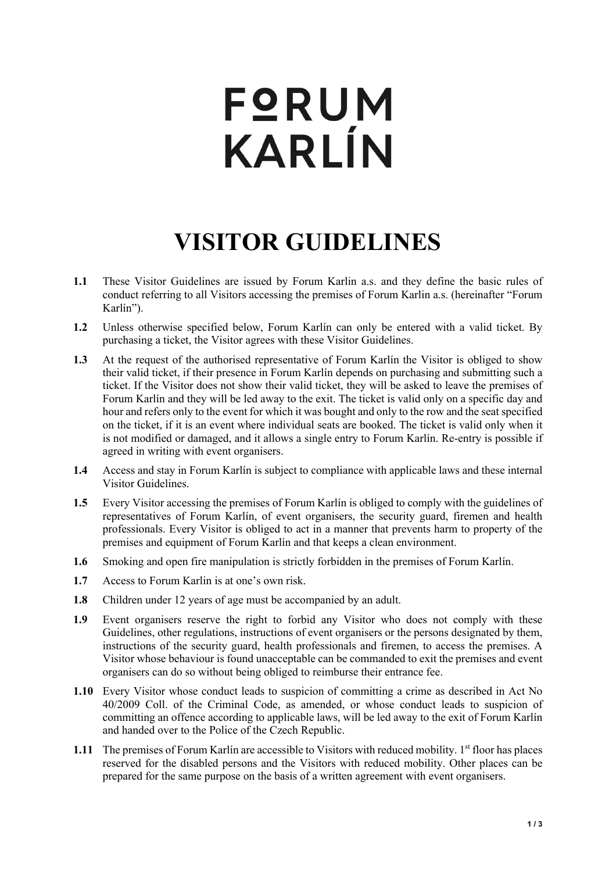## **FQRUM** KARLÍN

## **VISITOR GUIDELINES**

- **1.1** These Visitor Guidelines are issued by Forum Karlin a.s. and they define the basic rules of conduct referring to all Visitors accessing the premises of Forum Karlin a.s. (hereinafter "Forum Karlín").
- **1.2** Unless otherwise specified below, Forum Karlín can only be entered with a valid ticket. By purchasing a ticket, the Visitor agrees with these Visitor Guidelines.
- **1.3** At the request of the authorised representative of Forum Karlín the Visitor is obliged to show their valid ticket, if their presence in Forum Karlín depends on purchasing and submitting such a ticket. If the Visitor does not show their valid ticket, they will be asked to leave the premises of Forum Karlín and they will be led away to the exit. The ticket is valid only on a specific day and hour and refers only to the event for which it was bought and only to the row and the seat specified on the ticket, if it is an event where individual seats are booked. The ticket is valid only when it is not modified or damaged, and it allows a single entry to Forum Karlín. Re-entry is possible if agreed in writing with event organisers.
- **1.4** Access and stay in Forum Karlín is subject to compliance with applicable laws and these internal Visitor Guidelines.
- **1.5** Every Visitor accessing the premises of Forum Karlín is obliged to comply with the guidelines of representatives of Forum Karlín, of event organisers, the security guard, firemen and health professionals. Every Visitor is obliged to act in a manner that prevents harm to property of the premises and equipment of Forum Karlín and that keeps a clean environment.
- **1.6** Smoking and open fire manipulation is strictly forbidden in the premises of Forum Karlín.
- **1.7** Access to Forum Karlin is at one's own risk.
- **1.8** Children under 12 years of age must be accompanied by an adult.
- **1.9** Event organisers reserve the right to forbid any Visitor who does not comply with these Guidelines, other regulations, instructions of event organisers or the persons designated by them, instructions of the security guard, health professionals and firemen, to access the premises. A Visitor whose behaviour is found unacceptable can be commanded to exit the premises and event organisers can do so without being obliged to reimburse their entrance fee.
- **1.10** Every Visitor whose conduct leads to suspicion of committing a crime as described in Act No 40/2009 Coll. of the Criminal Code, as amended, or whose conduct leads to suspicion of committing an offence according to applicable laws, will be led away to the exit of Forum Karlín and handed over to the Police of the Czech Republic.
- **1.11** The premises of Forum Karlín are accessible to Visitors with reduced mobility. 1<sup>st</sup> floor has places reserved for the disabled persons and the Visitors with reduced mobility. Other places can be prepared for the same purpose on the basis of a written agreement with event organisers.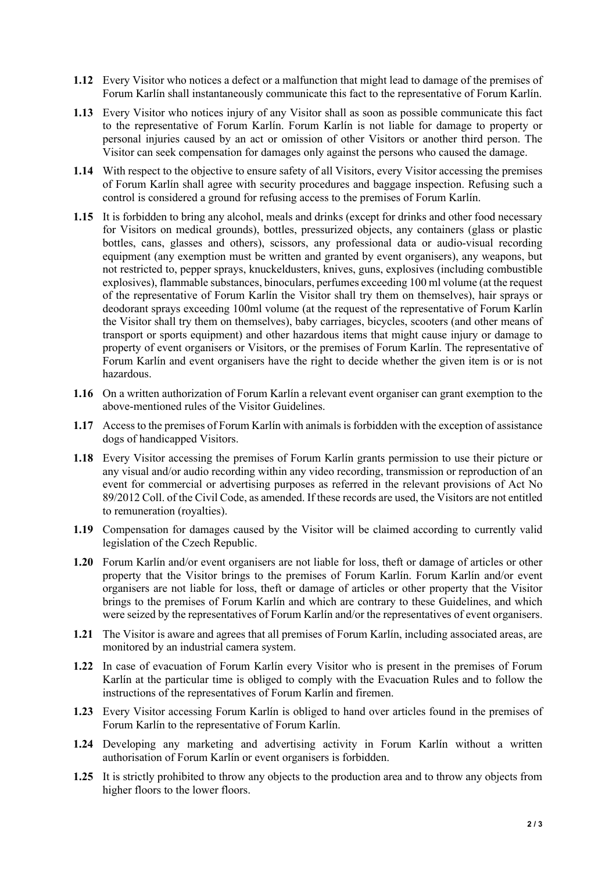- **1.12** Every Visitor who notices a defect or a malfunction that might lead to damage of the premises of Forum Karlín shall instantaneously communicate this fact to the representative of Forum Karlín.
- **1.13** Every Visitor who notices injury of any Visitor shall as soon as possible communicate this fact to the representative of Forum Karlín. Forum Karlín is not liable for damage to property or personal injuries caused by an act or omission of other Visitors or another third person. The Visitor can seek compensation for damages only against the persons who caused the damage.
- **1.14** With respect to the objective to ensure safety of all Visitors, every Visitor accessing the premises of Forum Karlín shall agree with security procedures and baggage inspection. Refusing such a control is considered a ground for refusing access to the premises of Forum Karlín.
- **1.15** It is forbidden to bring any alcohol, meals and drinks (except for drinks and other food necessary for Visitors on medical grounds), bottles, pressurized objects, any containers (glass or plastic bottles, cans, glasses and others), scissors, any professional data or audio-visual recording equipment (any exemption must be written and granted by event organisers), any weapons, but not restricted to, pepper sprays, knuckeldusters, knives, guns, explosives (including combustible explosives), flammable substances, binoculars, perfumes exceeding 100 ml volume (at the request of the representative of Forum Karlín the Visitor shall try them on themselves), hair sprays or deodorant sprays exceeding 100ml volume (at the request of the representative of Forum Karlín the Visitor shall try them on themselves), baby carriages, bicycles, scooters (and other means of transport or sports equipment) and other hazardous items that might cause injury or damage to property of event organisers or Visitors, or the premises of Forum Karlín. The representative of Forum Karlín and event organisers have the right to decide whether the given item is or is not hazardous.
- **1.16** On a written authorization of Forum Karlín a relevant event organiser can grant exemption to the above-mentioned rules of the Visitor Guidelines.
- **1.17** Access to the premises of Forum Karlín with animals is forbidden with the exception of assistance dogs of handicapped Visitors.
- **1.18** Every Visitor accessing the premises of Forum Karlín grants permission to use their picture or any visual and/or audio recording within any video recording, transmission or reproduction of an event for commercial or advertising purposes as referred in the relevant provisions of Act No 89/2012 Coll. of the Civil Code, as amended. If these records are used, the Visitors are not entitled to remuneration (royalties).
- **1.19** Compensation for damages caused by the Visitor will be claimed according to currently valid legislation of the Czech Republic.
- **1.20** Forum Karlín and/or event organisers are not liable for loss, theft or damage of articles or other property that the Visitor brings to the premises of Forum Karlín. Forum Karlín and/or event organisers are not liable for loss, theft or damage of articles or other property that the Visitor brings to the premises of Forum Karlín and which are contrary to these Guidelines, and which were seized by the representatives of Forum Karlín and/or the representatives of event organisers.
- **1.21** The Visitor is aware and agrees that all premises of Forum Karlín, including associated areas, are monitored by an industrial camera system.
- **1.22** In case of evacuation of Forum Karlín every Visitor who is present in the premises of Forum Karlín at the particular time is obliged to comply with the Evacuation Rules and to follow the instructions of the representatives of Forum Karlín and firemen.
- **1.23** Every Visitor accessing Forum Karlín is obliged to hand over articles found in the premises of Forum Karlín to the representative of Forum Karlín.
- **1.24** Developing any marketing and advertising activity in Forum Karlín without a written authorisation of Forum Karlín or event organisers is forbidden.
- **1.25** It is strictly prohibited to throw any objects to the production area and to throw any objects from higher floors to the lower floors.